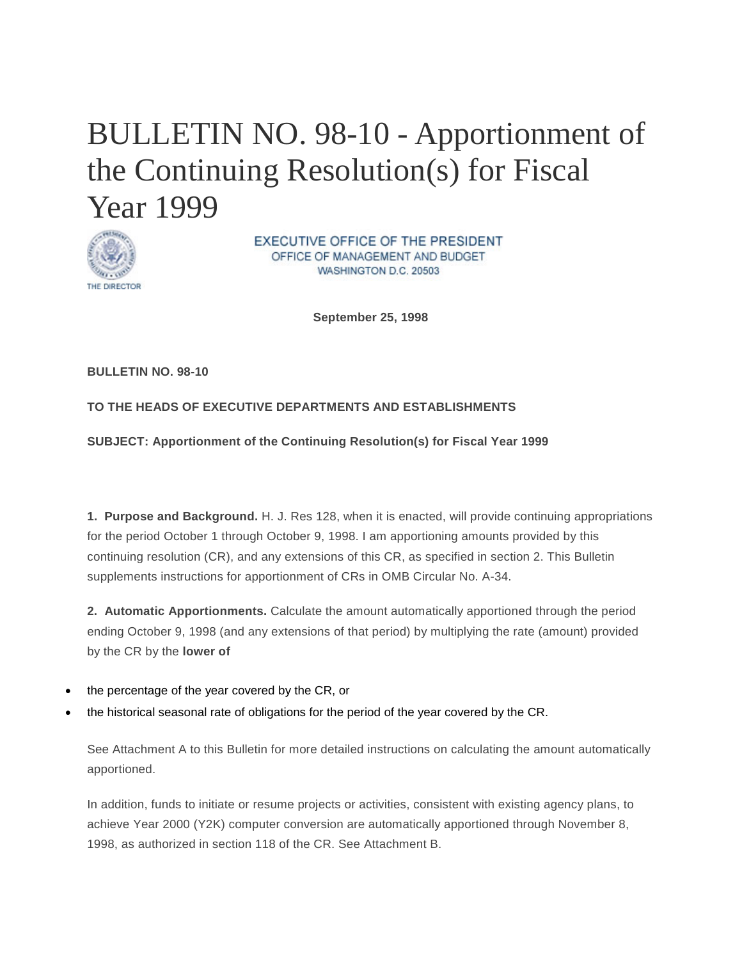# BULLETIN NO. 98-10 - Apportionment of the Continuing Resolution(s) for Fiscal Year 1999



EXECUTIVE OFFICE OF THE PRESIDENT OFFICE OF MANAGEMENT AND BUDGET WASHINGTON D.C. 20503

**September 25, 1998** 

**BULLETIN NO. 98-10**

#### **TO THE HEADS OF EXECUTIVE DEPARTMENTS AND ESTABLISHMENTS**

**SUBJECT: Apportionment of the Continuing Resolution(s) for Fiscal Year 1999**

**1. Purpose and Background.** H. J. Res 128, when it is enacted, will provide continuing appropriations for the period October 1 through October 9, 1998. I am apportioning amounts provided by this continuing resolution (CR), and any extensions of this CR, as specified in section 2. This Bulletin supplements instructions for apportionment of CRs in OMB Circular No. A-34.

**2. Automatic Apportionments.** Calculate the amount automatically apportioned through the period ending October 9, 1998 (and any extensions of that period) by multiplying the rate (amount) provided by the CR by the **lower of**

- the percentage of the year covered by the CR, or
- the historical seasonal rate of obligations for the period of the year covered by the CR.

See Attachment A to this Bulletin for more detailed instructions on calculating the amount automatically apportioned.

In addition, funds to initiate or resume projects or activities, consistent with existing agency plans, to achieve Year 2000 (Y2K) computer conversion are automatically apportioned through November 8, 1998, as authorized in section 118 of the CR. See Attachment B.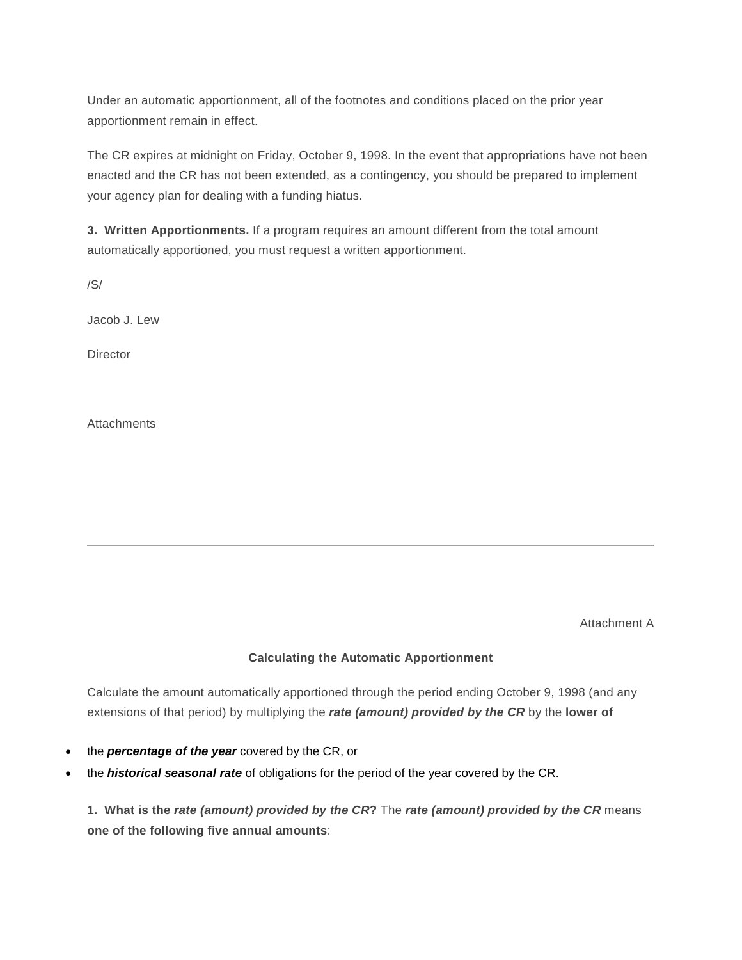Under an automatic apportionment, all of the footnotes and conditions placed on the prior year apportionment remain in effect.

The CR expires at midnight on Friday, October 9, 1998. In the event that appropriations have not been enacted and the CR has not been extended, as a contingency, you should be prepared to implement your agency plan for dealing with a funding hiatus.

**3. Written Apportionments.** If a program requires an amount different from the total amount automatically apportioned, you must request a written apportionment.

/S/

Jacob J. Lew

**Director** 

**Attachments** 

Attachment A

#### **Calculating the Automatic Apportionment**

Calculate the amount automatically apportioned through the period ending October 9, 1998 (and any extensions of that period) by multiplying the *rate (amount) provided by the CR* by the **lower of** 

- the *percentage of the year* covered by the CR, or
- the *historical seasonal rate* of obligations for the period of the year covered by the CR.

**1. What is the** *rate (amount) provided by the CR***?** The *rate (amount) provided by the CR* means **one of the following five annual amounts**: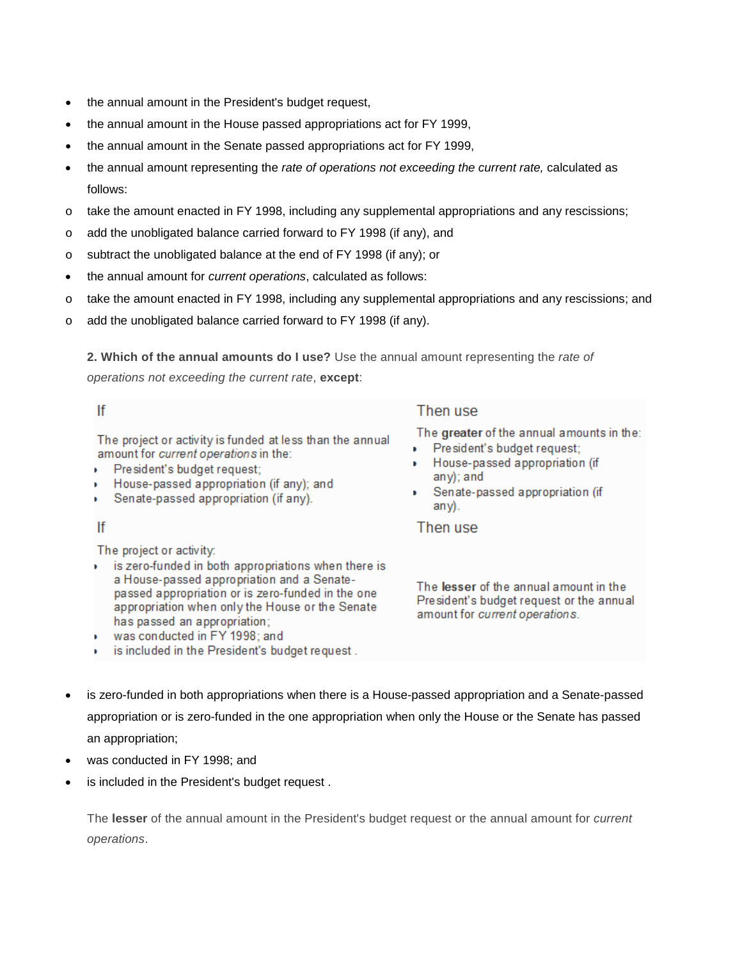- the annual amount in the President's budget request,
- the annual amount in the House passed appropriations act for FY 1999,
- the annual amount in the Senate passed appropriations act for FY 1999,
- the annual amount representing the *rate of operations not exceeding the current rate,* calculated as follows:
- $\circ$  take the amount enacted in FY 1998, including any supplemental appropriations and any rescissions;
- o add the unobligated balance carried forward to FY 1998 (if any), and
- o subtract the unobligated balance at the end of FY 1998 (if any); or
- the annual amount for *current operations*, calculated as follows:
- o take the amount enacted in FY 1998, including any supplemental appropriations and any rescissions; and
- o add the unobligated balance carried forward to FY 1998 (if any).

**2. Which of the annual amounts do I use?** Use the annual amount representing the *rate of operations not exceeding the current rate*, **except**:

#### If

The project or activity is funded at less than the annual amount for current operations in the:

- President's budget request: a c
- House-passed appropriation (if any); and
- Senate-passed appropriation (if any).

#### If

The project or activity:

is zero-funded in both appropriations when there is a House-passed appropriation and a Senatepassed appropriation or is zero-funded in the one appropriation when only the House or the Senate has passed an appropriation;

is included in the President's budget request.

was conducted in FY 1998; and

## Then use

The greater of the annual amounts in the:

- President's budget request:
- House-passed appropriation (if  $an v$ : and
- Senate-passed appropriation (if  $any).$

### Then use

The lesser of the annual amount in the President's budget request or the annual amount for current operations.

- is zero-funded in both appropriations when there is a House-passed appropriation and a Senate-passed appropriation or is zero-funded in the one appropriation when only the House or the Senate has passed an appropriation;
- was conducted in FY 1998; and
- is included in the President's budget request.

The **lesser** of the annual amount in the President's budget request or the annual amount for *current operations*.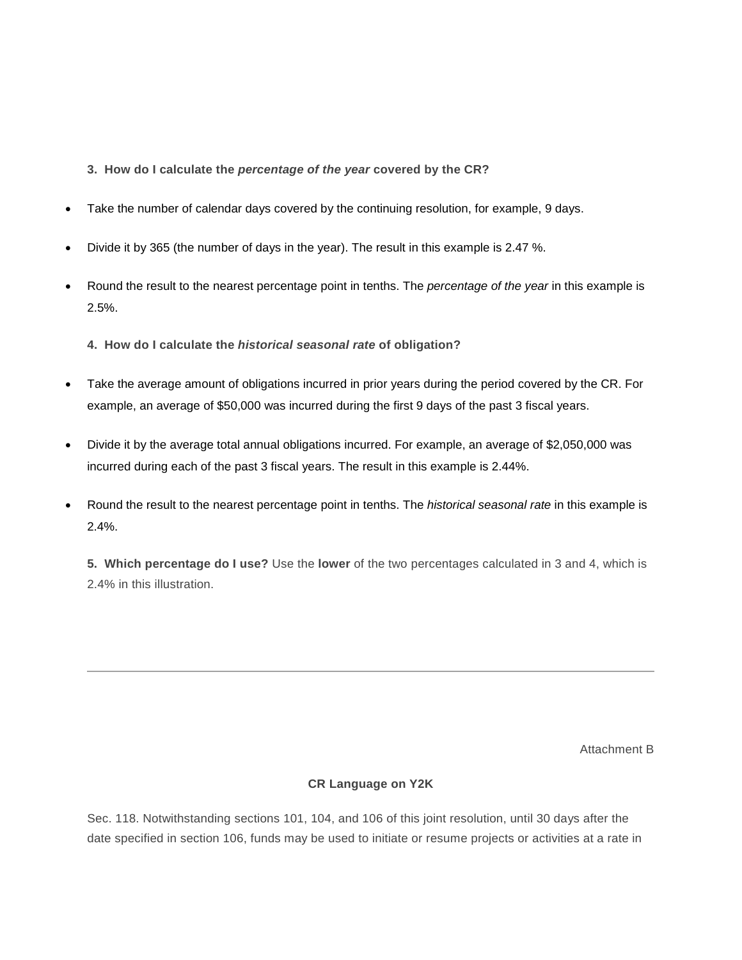- **3. How do I calculate the** *percentage of the year* **covered by the CR?**
- Take the number of calendar days covered by the continuing resolution, for example, 9 days.
- Divide it by 365 (the number of days in the year). The result in this example is 2.47 %.
- Round the result to the nearest percentage point in tenths. The *percentage of the year* in this example is 2.5%.
	- **4. How do I calculate the** *historical seasonal rate* **of obligation?**
- Take the average amount of obligations incurred in prior years during the period covered by the CR. For example, an average of \$50,000 was incurred during the first 9 days of the past 3 fiscal years.
- Divide it by the average total annual obligations incurred. For example, an average of \$2,050,000 was incurred during each of the past 3 fiscal years. The result in this example is 2.44%.
- Round the result to the nearest percentage point in tenths. The *historical seasonal rate* in this example is 2.4%.

**5. Which percentage do I use?** Use the **lower** of the two percentages calculated in 3 and 4, which is 2.4% in this illustration.

Attachment B

#### **CR Language on Y2K**

Sec. 118. Notwithstanding sections 101, 104, and 106 of this joint resolution, until 30 days after the date specified in section 106, funds may be used to initiate or resume projects or activities at a rate in